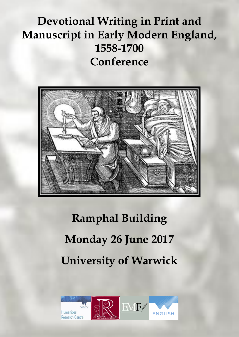## **[Devotional](https://devotionalwritinginprintandmanuscriptinearlymodernengland.com/) Writing in Print and [Manuscript](https://devotionalwritinginprintandmanuscriptinearlymodernengland.com/) in Early Modern England, [1558-1700](https://devotionalwritinginprintandmanuscriptinearlymodernengland.com/) Conference**



## **Ramphal Building Monday 26 June 2017 University of Warwick**

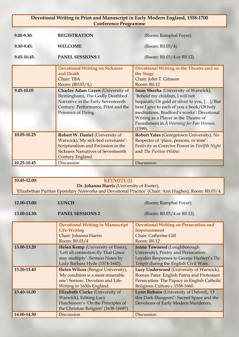## **Devotional Writing in Print and Manuscript in Early Modern England, 1558-1700 Conference Programme**

| $9.00 - 9.30$  | <b>REGISTRATION</b>                                                                                                                                                                                                                              | (Room: Ramphal Foyer).                                                                                                                                                                                                                                              |
|----------------|--------------------------------------------------------------------------------------------------------------------------------------------------------------------------------------------------------------------------------------------------|---------------------------------------------------------------------------------------------------------------------------------------------------------------------------------------------------------------------------------------------------------------------|
| $9.30 - 9.45$  | <b>WELCOME</b>                                                                                                                                                                                                                                   | (Room: $R0.03/4$ ).                                                                                                                                                                                                                                                 |
| $9.45 - 10.45$ | <b>PANEL SESSIONS 1</b>                                                                                                                                                                                                                          | (Room: R0.03/4 or R0.12).                                                                                                                                                                                                                                           |
| 9.45-10.05     | <b>Devotional Writing on Sickness</b><br>and Death<br>Chair: TBA<br>Room: (R0.03/4,)<br><b>Charles Adam Green</b> (University of<br>Birmingham), The Godly Deathbed<br>Narrative in the Early Seventeenth<br>Century: Performance, Print and the | Devotional Writing in the Theatre and on<br>the Stage<br>Chair: John T. Gilmore<br>Room: R0.12<br>Iman Sheeha (University of Warwick),<br>'Behold my children, I will not<br>bequeath/Or gold or silver to you, []/But<br>here I give to each of you a book/Of holy |
|                | Polemics of Dying.                                                                                                                                                                                                                               | meditations, Bradford's works': Devotional<br>Writing as a Player in the Theatre of<br>Punishment in A Warning for Fair Women<br>(1599).                                                                                                                            |
| 10.05-10.25    | Robert W. Daniel (University of<br>Warwick),'My sick-bed covenants':<br>Scripturalism and Exclusion in the<br><b>Sickness Narratives of Seventeenth</b><br>Century England.                                                                      | Robert Yates (Georgetown University), No<br>Respecter of 'place, persons, or time':<br>Festivity as Coercive Power in Twelfth Night<br>and The Puritan Widow.                                                                                                       |
| 10.25-10.45    | Discussion                                                                                                                                                                                                                                       | Discussion                                                                                                                                                                                                                                                          |

| 10.45-12.00:                                                                                          | <b>KEYNOTE (1)</b>                      |                                              |  |  |
|-------------------------------------------------------------------------------------------------------|-----------------------------------------|----------------------------------------------|--|--|
|                                                                                                       |                                         |                                              |  |  |
| Dr. Johanna Harris (University of Exeter),                                                            |                                         |                                              |  |  |
| 'Elizabethan Puritan Epistolary Networks and Devotional Practice' (Chair: Ann Hughes), Room: R0.03/4. |                                         |                                              |  |  |
|                                                                                                       |                                         |                                              |  |  |
| 12.00-13.00:                                                                                          | <b>LUNCH</b>                            | (Room: Ramphal Foyer).                       |  |  |
|                                                                                                       |                                         |                                              |  |  |
| 13.00-14.30:                                                                                          | <b>PANEL SESSIONS 2</b>                 | (Room: R0.03/4 or R0.12).                    |  |  |
|                                                                                                       |                                         |                                              |  |  |
|                                                                                                       | <b>Devotional Writing in Manuscript</b> | <b>Devotional Writing on Persecution and</b> |  |  |
|                                                                                                       | <b>Life-Writing</b>                     | Imprisonment                                 |  |  |
|                                                                                                       | Chair: Johanna Harris                   | <b>Chair: Catherine Gill</b>                 |  |  |
|                                                                                                       | Room: R0.03/4                           | Room: R0.12                                  |  |  |
| 13.00-13.20                                                                                           | Helen Kemp (University of Essex),       | Jenna Townend (Loughborough                  |  |  |
|                                                                                                       | 'Lett all contention fly That Grace     | University), Poetry and Persecution:         |  |  |
|                                                                                                       | may multiply': Sermon Notes by          | Loyalist Responses to George Herbert's The   |  |  |
|                                                                                                       | Lady Barbara Hyde (1574-1641).          | Temple during the English Civil Wars.        |  |  |
| 13.20-13.40                                                                                           | Helen Wilcox (Bangor University),       | Lucy Underwood (University of Warwick),      |  |  |
|                                                                                                       | 'My condition is a most miserable       | Roman Pater, English Patria and Protestant   |  |  |
|                                                                                                       | one': Sorrow, Devotion and Life-        | Persecution: The Papacy in English Catholic  |  |  |
|                                                                                                       | Writing in 1630s England.               | Religious Culture c.1558-1660.               |  |  |
| 13.40-14.00                                                                                           | Elizabeth Clarke (University of         | Lynn Robson (University of Oxford), 'O       |  |  |
|                                                                                                       | Warwick), Editing Lucy                  | this Dark Dungeon!': Sacred Space and the    |  |  |
|                                                                                                       | Hutchinson's 'On the Principles of      | Devotions of Early Modern Murderers.         |  |  |
|                                                                                                       | the Christian Religion' (1638-1668?).   |                                              |  |  |
| 14.00-14.30                                                                                           | <b>Discussion</b>                       | <b>Discussion</b>                            |  |  |
|                                                                                                       |                                         |                                              |  |  |